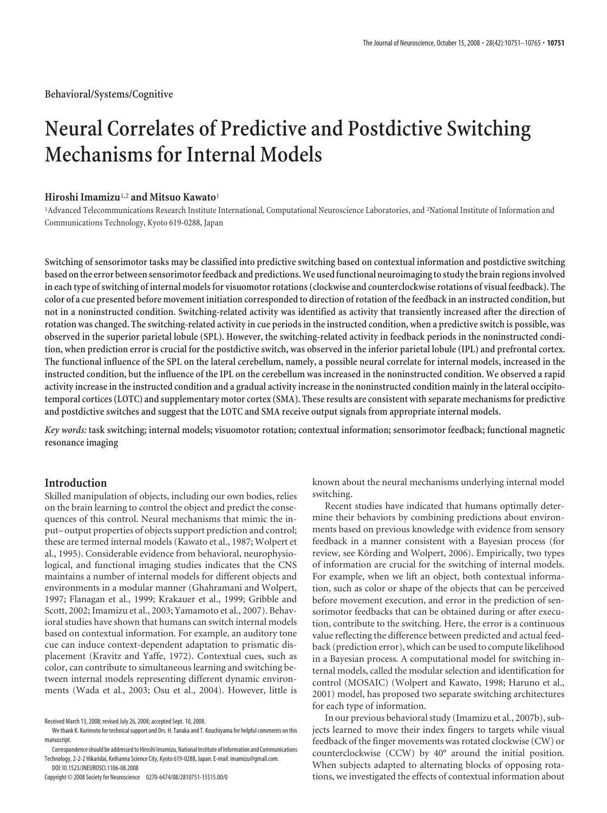# **Neural Correlates of Predictive and Postdictive Switching Mechanisms for Internal Models**

# **Hiroshi Imamizu**1,2 **and Mitsuo Kawato**<sup>1</sup>

<sup>1</sup>Advanced Telecommunications Research Institute International, Computational Neuroscience Laboratories, and <sup>2</sup>National Institute of Information and Communications Technology, Kyoto 619-0288, Japan

**Switching of sensorimotor tasks may be classified into predictive switching based on contextual information and postdictive switching based onthe error between sensorimotorfeedback and predictions.We usedfunctional neuroimagingto studythe brain regions involved in each type of switching of internal models for visuomotor rotations (clockwise and counterclockwise rotations of visual feedback). The color of a cue presented before movement initiation corresponded to direction of rotation of the feedback in an instructed condition, but not in a noninstructed condition. Switching-related activity was identified as activity that transiently increased after the direction of rotation was changed. The switching-related activity in cue periods in the instructed condition, when a predictive switch is possible, was observed in the superior parietal lobule (SPL). However, the switching-related activity in feedback periods in the noninstructed condition, when prediction error is crucial for the postdictive switch, was observed in the inferior parietal lobule (IPL) and prefrontal cortex. The functional influence of the SPL on the lateral cerebellum, namely, a possible neural correlate for internal models, increased in the instructed condition, but the influence of the IPL on the cerebellum was increased in the noninstructed condition. We observed a rapid activity increase in the instructed condition and a gradual activity increase in the noninstructed condition mainly in the lateral occipitotemporal cortices (LOTC) and supplementary motor cortex (SMA). These results are consistent with separate mechanisms for predictive and postdictive switches and suggest that the LOTC and SMA receive output signals from appropriate internal models.**

*Key words:* **task switching; internal models; visuomotor rotation; contextual information; sensorimotor feedback; functional magnetic resonance imaging**

# **Introduction**

Skilled manipulation of objects, including our own bodies, relies on the brain learning to control the object and predict the consequences of this control. Neural mechanisms that mimic the input– output properties of objects support prediction and control; these are termed internal models (Kawato et al., 1987; Wolpert et al., 1995). Considerable evidence from behavioral, neurophysiological, and functional imaging studies indicates that the CNS maintains a number of internal models for different objects and environments in a modular manner (Ghahramani and Wolpert, 1997; Flanagan et al., 1999; Krakauer et al., 1999; Gribble and Scott, 2002; Imamizu et al., 2003; Yamamoto et al., 2007). Behavioral studies have shown that humans can switch internal models based on contextual information. For example, an auditory tone cue can induce context-dependent adaptation to prismatic displacement (Kravitz and Yaffe, 1972). Contextual cues, such as color, can contribute to simultaneous learning and switching between internal models representing different dynamic environments (Wada et al., 2003; Osu et al., 2004). However, little is

known about the neural mechanisms underlying internal model switching.

Recent studies have indicated that humans optimally determine their behaviors by combining predictions about environments based on previous knowledge with evidence from sensory feedback in a manner consistent with a Bayesian process (for review, see Körding and Wolpert, 2006). Empirically, two types of information are crucial for the switching of internal models. For example, when we lift an object, both contextual information, such as color or shape of the objects that can be perceived before movement execution, and error in the prediction of sensorimotor feedbacks that can be obtained during or after execution, contribute to the switching. Here, the error is a continuous value reflecting the difference between predicted and actual feedback (prediction error), which can be used to compute likelihood in a Bayesian process. A computational model for switching internal models, called the modular selection and identification for control (MOSAIC) (Wolpert and Kawato, 1998; Haruno et al., 2001) model, has proposed two separate switching architectures for each type of information.

In our previous behavioral study (Imamizu et al., 2007b), subjects learned to move their index fingers to targets while visual feedback of the finger movements was rotated clockwise (CW) or counterclockwise (CCW) by 40° around the initial position. When subjects adapted to alternating blocks of opposing rotations, we investigated the effects of contextual information about

Received March 13, 2008; revised July 26, 2008; accepted Sept. 10, 2008.

We thank K. Kurimoto for technical support and Drs. H. Tanaka and T. Kouchiyama for helpful comments on this manuscript.

Correspondenceshould be addressedto Hiroshi Imamizu, National Institute of Information and Communications Technology, 2-2-2 Hikaridai, Keihanna Science City, Kyoto 619-0288, Japan. E-mail: imamizu@gmail.com.

DOI:10.1523/JNEUROSCI.1106-08.2008

Copyright © 2008 Society for Neuroscience 0270-6474/08/2810751-15\$15.00/0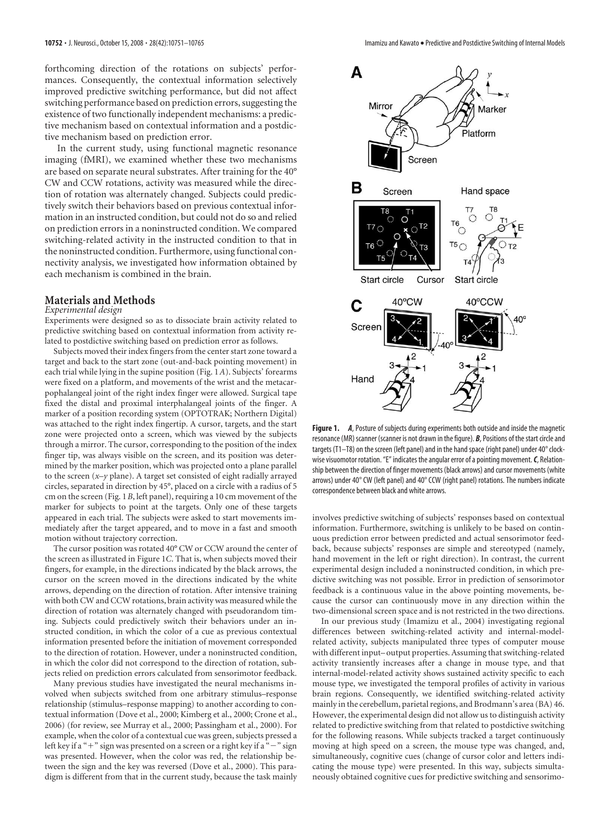forthcoming direction of the rotations on subjects' performances. Consequently, the contextual information selectively improved predictive switching performance, but did not affect switching performance based on prediction errors, suggesting the existence of two functionally independent mechanisms: a predictive mechanism based on contextual information and a postdictive mechanism based on prediction error.

In the current study, using functional magnetic resonance imaging (fMRI), we examined whether these two mechanisms are based on separate neural substrates. After training for the 40° CW and CCW rotations, activity was measured while the direction of rotation was alternately changed. Subjects could predictively switch their behaviors based on previous contextual information in an instructed condition, but could not do so and relied on prediction errors in a noninstructed condition. We compared switching-related activity in the instructed condition to that in the noninstructed condition. Furthermore, using functional connectivity analysis, we investigated how information obtained by each mechanism is combined in the brain.

# **Materials and Methods**

#### *Experimental design*

Experiments were designed so as to dissociate brain activity related to predictive switching based on contextual information from activity related to postdictive switching based on prediction error as follows.

Subjects moved their index fingers from the center start zone toward a target and back to the start zone (out-and-back pointing movement) in each trial while lying in the supine position (Fig. 1*A*). Subjects' forearms were fixed on a platform, and movements of the wrist and the metacarpophalangeal joint of the right index finger were allowed. Surgical tape fixed the distal and proximal interphalangeal joints of the finger. A marker of a position recording system (OPTOTRAK; Northern Digital) was attached to the right index fingertip. A cursor, targets, and the start zone were projected onto a screen, which was viewed by the subjects through a mirror. The cursor, corresponding to the position of the index finger tip, was always visible on the screen, and its position was determined by the marker position, which was projected onto a plane parallel to the screen (*x*–*y* plane). A target set consisted of eight radially arrayed circles, separated in direction by 45°, placed on a circle with a radius of 5 cm on the screen (Fig. 1*B*, left panel), requiring a 10 cm movement of the marker for subjects to point at the targets. Only one of these targets appeared in each trial. The subjects were asked to start movements immediately after the target appeared, and to move in a fast and smooth motion without trajectory correction.

The cursor position was rotated 40° CW or CCW around the center of the screen as illustrated in Figure 1*C*. That is, when subjects moved their fingers, for example, in the directions indicated by the black arrows, the cursor on the screen moved in the directions indicated by the white arrows, depending on the direction of rotation. After intensive training with both CW and CCW rotations, brain activity was measured while the direction of rotation was alternately changed with pseudorandom timing. Subjects could predictively switch their behaviors under an instructed condition, in which the color of a cue as previous contextual information presented before the initiation of movement corresponded to the direction of rotation. However, under a noninstructed condition, in which the color did not correspond to the direction of rotation, subjects relied on prediction errors calculated from sensorimotor feedback.

Many previous studies have investigated the neural mechanisms involved when subjects switched from one arbitrary stimulus–response relationship (stimulus–response mapping) to another according to contextual information (Dove et al., 2000; Kimberg et al., 2000; Crone et al., 2006) (for review, see Murray et al., 2000; Passingham et al., 2000). For example, when the color of a contextual cue was green, subjects pressed a left key if a "+" sign was presented on a screen or a right key if a "−" sign was presented. However, when the color was red, the relationship between the sign and the key was reversed (Dove et al., 2000). This paradigm is different from that in the current study, because the task mainly



**Figure 1.** *A*, Posture of subjects during experiments both outside and inside the magnetic resonance (MR) scanner (scanner is not drawn in the figure). *B*, Positions of the start circle and targets (T1–T8) on the screen (left panel) and in the hand space (right panel) under 40° clockwise visuomotor rotation. "E" indicates the angular error of a pointing movement.*C*, Relationship between the direction of finger movements (black arrows) and cursor movements (white arrows) under 40° CW (left panel) and 40° CCW (right panel) rotations. The numbers indicate correspondence between black and white arrows.

involves predictive switching of subjects' responses based on contextual information. Furthermore, switching is unlikely to be based on continuous prediction error between predicted and actual sensorimotor feedback, because subjects' responses are simple and stereotyped (namely, hand movement in the left or right direction). In contrast, the current experimental design included a noninstructed condition, in which predictive switching was not possible. Error in prediction of sensorimotor feedback is a continuous value in the above pointing movements, because the cursor can continuously move in any direction within the two-dimensional screen space and is not restricted in the two directions.

In our previous study (Imamizu et al., 2004) investigating regional differences between switching-related activity and internal-modelrelated activity, subjects manipulated three types of computer mouse with different input– output properties. Assuming that switching-related activity transiently increases after a change in mouse type, and that internal-model-related activity shows sustained activity specific to each mouse type, we investigated the temporal profiles of activity in various brain regions. Consequently, we identified switching-related activity mainly in the cerebellum, parietal regions, and Brodmann's area (BA) 46. However, the experimental design did not allow us to distinguish activity related to predictive switching from that related to postdictive switching for the following reasons. While subjects tracked a target continuously moving at high speed on a screen, the mouse type was changed, and, simultaneously, cognitive cues (change of cursor color and letters indicating the mouse type) were presented. In this way, subjects simultaneously obtained cognitive cues for predictive switching and sensorimo-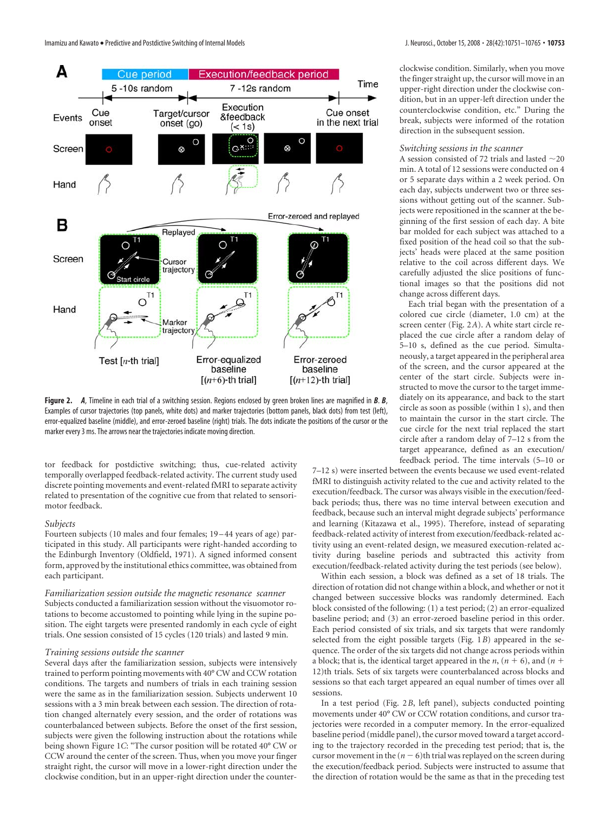

**Figure 2.** *A*, Timeline in each trial of a switching session. Regions enclosed by green broken lines are magnified in *B*. *B*, Examples of cursor trajectories (top panels, white dots) and marker trajectories (bottom panels, black dots) from test (left), error-equalized baseline (middle), and error-zeroed baseline (right) trials. The dots indicate the positions of the cursor or the marker every 3 ms. The arrows near the trajectories indicate moving direction.

tor feedback for postdictive switching; thus, cue-related activity temporally overlapped feedback-related activity. The current study used discrete pointing movements and event-related fMRI to separate activity related to presentation of the cognitive cue from that related to sensorimotor feedback.

### *Subjects*

Fourteen subjects (10 males and four females; 19 – 44 years of age) participated in this study. All participants were right-handed according to the Edinburgh Inventory (Oldfield, 1971). A signed informed consent form, approved by the institutional ethics committee, was obtained from each participant.

*Familiarization session outside the magnetic resonance scanner* Subjects conducted a familiarization session without the visuomotor rotations to become accustomed to pointing while lying in the supine position. The eight targets were presented randomly in each cycle of eight trials. One session consisted of 15 cycles (120 trials) and lasted 9 min.

### *Training sessions outside the scanner*

Several days after the familiarization session, subjects were intensively trained to perform pointing movements with 40° CW and CCW rotation conditions. The targets and numbers of trials in each training session were the same as in the familiarization session. Subjects underwent 10 sessions with a 3 min break between each session. The direction of rotation changed alternately every session, and the order of rotations was counterbalanced between subjects. Before the onset of the first session, subjects were given the following instruction about the rotations while being shown Figure 1*C*: "The cursor position will be rotated 40° CW or CCW around the center of the screen. Thus, when you move your finger straight right, the cursor will move in a lower-right direction under the clockwise condition, but in an upper-right direction under the counterclockwise condition. Similarly, when you move the finger straight up, the cursor will move in an upper-right direction under the clockwise condition, but in an upper-left direction under the counterclockwise condition, etc." During the break, subjects were informed of the rotation direction in the subsequent session.

### *Switching sessions in the scanner*

A session consisted of 72 trials and lasted  $\sim$  20 min. A total of 12 sessions were conducted on 4 or 5 separate days within a 2 week period. On each day, subjects underwent two or three sessions without getting out of the scanner. Subjects were repositioned in the scanner at the beginning of the first session of each day. A bite bar molded for each subject was attached to a fixed position of the head coil so that the subjects' heads were placed at the same position relative to the coil across different days. We carefully adjusted the slice positions of functional images so that the positions did not change across different days.

Each trial began with the presentation of a colored cue circle (diameter, 1.0 cm) at the screen center (Fig. 2*A*). A white start circle replaced the cue circle after a random delay of 5–10 s, defined as the cue period. Simultaneously, a target appeared in the peripheral area of the screen, and the cursor appeared at the center of the start circle. Subjects were instructed to move the cursor to the target immediately on its appearance, and back to the start circle as soon as possible (within 1 s), and then to maintain the cursor in the start circle. The cue circle for the next trial replaced the start circle after a random delay of 7–12 s from the target appearance, defined as an execution/ feedback period. The time intervals (5–10 or

7–12 s) were inserted between the events because we used event-related fMRI to distinguish activity related to the cue and activity related to the execution/feedback. The cursor was always visible in the execution/feedback periods; thus, there was no time interval between execution and feedback, because such an interval might degrade subjects' performance and learning (Kitazawa et al., 1995). Therefore, instead of separating feedback-related activity of interest from execution/feedback-related activity using an event-related design, we measured execution-related activity during baseline periods and subtracted this activity from execution/feedback-related activity during the test periods (see below).

Within each session, a block was defined as a set of 18 trials. The direction of rotation did not change within a block, and whether or not it changed between successive blocks was randomly determined. Each block consisted of the following: (1) a test period; (2) an error-equalized baseline period; and (3) an error-zeroed baseline period in this order. Each period consisted of six trials, and six targets that were randomly selected from the eight possible targets (Fig. 1*B*) appeared in the sequence. The order of the six targets did not change across periods within a block; that is, the identical target appeared in the *n*,  $(n + 6)$ , and  $(n + 6)$ 12)th trials. Sets of six targets were counterbalanced across blocks and sessions so that each target appeared an equal number of times over all sessions.

In a test period (Fig. 2*B*, left panel), subjects conducted pointing movements under 40° CW or CCW rotation conditions, and cursor trajectories were recorded in a computer memory. In the error-equalized baseline period (middle panel), the cursor moved toward a target according to the trajectory recorded in the preceding test period; that is, the cursor movement in the  $(n - 6)$ th trial was replayed on the screen during the execution/feedback period. Subjects were instructed to assume that the direction of rotation would be the same as that in the preceding test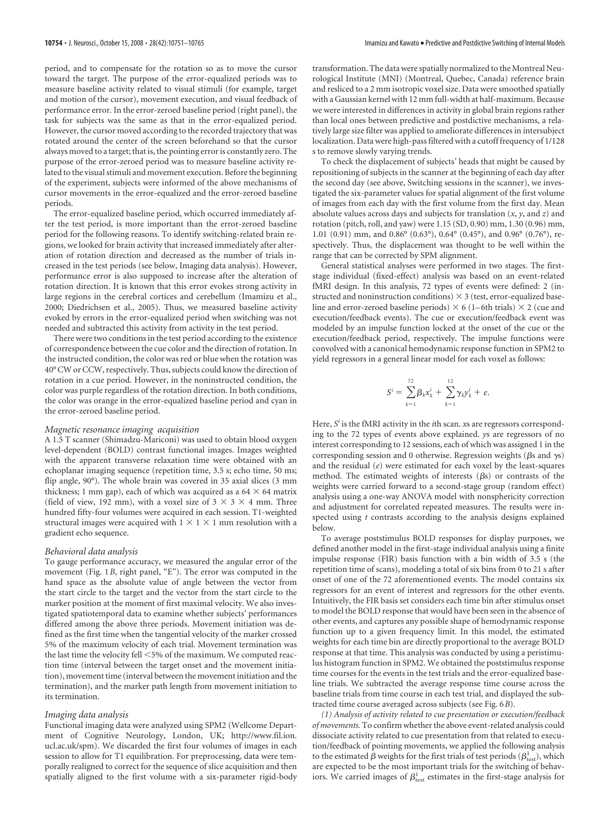period, and to compensate for the rotation so as to move the cursor toward the target. The purpose of the error-equalized periods was to measure baseline activity related to visual stimuli (for example, target and motion of the cursor), movement execution, and visual feedback of performance error. In the error-zeroed baseline period (right panel), the task for subjects was the same as that in the error-equalized period. However, the cursor moved according to the recorded trajectory that was rotated around the center of the screen beforehand so that the cursor always moved to a target; that is, the pointing error is constantly zero. The purpose of the error-zeroed period was to measure baseline activity related to the visual stimuli and movement execution. Before the beginning of the experiment, subjects were informed of the above mechanisms of cursor movements in the error-equalized and the error-zeroed baseline periods.

The error-equalized baseline period, which occurred immediately after the test period, is more important than the error-zeroed baseline period for the following reasons. To identify switching-related brain regions, we looked for brain activity that increased immediately after alteration of rotation direction and decreased as the number of trials increased in the test periods (see below, Imaging data analysis). However, performance error is also supposed to increase after the alteration of rotation direction. It is known that this error evokes strong activity in large regions in the cerebral cortices and cerebellum (Imamizu et al., 2000; Diedrichsen et al., 2005). Thus, we measured baseline activity evoked by errors in the error-equalized period when switching was not needed and subtracted this activity from activity in the test period.

There were two conditions in the test period according to the existence of correspondence between the cue color and the direction of rotation. In the instructed condition, the color was red or blue when the rotation was 40° CW or CCW, respectively. Thus, subjects could know the direction of rotation in a cue period. However, in the noninstructed condition, the color was purple regardless of the rotation direction. In both conditions, the color was orange in the error-equalized baseline period and cyan in the error-zeroed baseline period.

### *Magnetic resonance imaging acquisition*

A 1.5 T scanner (Shimadzu-Mariconi) was used to obtain blood oxygen level-dependent (BOLD) contrast functional images. Images weighted with the apparent transverse relaxation time were obtained with an echoplanar imaging sequence (repetition time, 3.5 s; echo time, 50 ms; flip angle, 90°). The whole brain was covered in 35 axial slices (3 mm thickness; 1 mm gap), each of which was acquired as a  $64 \times 64$  matrix (field of view, 192 mm), with a voxel size of  $3 \times 3 \times 4$  mm. Three hundred fifty-four volumes were acquired in each session. T1-weighted structural images were acquired with  $1 \times 1 \times 1$  mm resolution with a gradient echo sequence.

### *Behavioral data analysis*

To gauge performance accuracy, we measured the angular error of the movement (Fig. 1*B*, right panel, "E"). The error was computed in the hand space as the absolute value of angle between the vector from the start circle to the target and the vector from the start circle to the marker position at the moment of first maximal velocity. We also investigated spatiotemporal data to examine whether subjects' performances differed among the above three periods. Movement initiation was defined as the first time when the tangential velocity of the marker crossed 5% of the maximum velocity of each trial. Movement termination was the last time the velocity fell <5% of the maximum. We computed reaction time (interval between the target onset and the movement initiation), movement time (interval between the movement initiation and the termination), and the marker path length from movement initiation to its termination.

### *Imaging data analysis*

Functional imaging data were analyzed using SPM2 (Wellcome Department of Cognitive Neurology, London, UK; http://www.fil.ion. ucl.ac.uk/spm). We discarded the first four volumes of images in each session to allow for T1 equilibration. For preprocessing, data were temporally realigned to correct for the sequence of slice acquisition and then spatially aligned to the first volume with a six-parameter rigid-body transformation. The data were spatially normalized to the Montreal Neurological Institute (MNI) (Montreal, Quebec, Canada) reference brain and resliced to a 2 mm isotropic voxel size. Data were smoothed spatially with a Gaussian kernel with 12 mm full-width at half-maximum. Because we were interested in differences in activity in global brain regions rather than local ones between predictive and postdictive mechanisms, a relatively large size filter was applied to ameliorate differences in intersubject localization. Data were high-pass filtered with a cutoff frequency of 1/128 s to remove slowly varying trends.

To check the displacement of subjects' heads that might be caused by repositioning of subjects in the scanner at the beginning of each day after the second day (see above, Switching sessions in the scanner), we investigated the six-parameter values for spatial alignment of the first volume of images from each day with the first volume from the first day. Mean absolute values across days and subjects for translation (*x*, *y*, and *z*) and rotation (pitch, roll, and yaw) were 1.15 (SD, 0.90) mm, 1.30 (0.96) mm, 1.01 (0.91) mm, and 0.86° (0.63°), 0.64° (0.45°), and 0.96° (0.76°), respectively. Thus, the displacement was thought to be well within the range that can be corrected by SPM alignment.

General statistical analyses were performed in two stages. The firststage individual (fixed-effect) analysis was based on an event-related fMRI design. In this analysis, 72 types of events were defined: 2 (instructed and noninstruction conditions)  $\times$  3 (test, error-equalized baseline and error-zeroed baseline periods)  $\times$  6 (1–6th trials)  $\times$  2 (cue and execution/feedback events). The cue or execution/feedback event was modeled by an impulse function locked at the onset of the cue or the execution/feedback period, respectively. The impulse functions were convolved with a canonical hemodynamic response function in SPM2 to yield regressors in a general linear model for each voxel as follows:

$$
S^{i} = \sum_{k=1}^{72} \beta_{k} x_{k}^{i} + \sum_{k=1}^{12} \gamma_{k} y_{k}^{i} + e.
$$

Here,  $S^i$  is the fMRI activity in the *i*th scan. *x*s are regressors corresponding to the 72 types of events above explained. *y*s are regressors of no interest corresponding to 12 sessions, each of which was assigned 1 in the corresponding session and 0 otherwise. Regression weights ( $\beta$ s and  $\gamma$ s) and the residual (*e*) were estimated for each voxel by the least-squares method. The estimated weights of interests  $(\beta s)$  or contrasts of the weights were carried forward to a second-stage group (random effect) analysis using a one-way ANOVA model with nonsphericity correction and adjustment for correlated repeated measures. The results were inspected using *t* contrasts according to the analysis designs explained below.

To average poststimulus BOLD responses for display purposes, we defined another model in the first-stage individual analysis using a finite impulse response (FIR) basis function with a bin width of 3.5 s (the repetition time of scans), modeling a total of six bins from 0 to 21 s after onset of one of the 72 aforementioned events. The model contains six regressors for an event of interest and regressors for the other events. Intuitively, the FIR basis set considers each time bin after stimulus onset to model the BOLD response that would have been seen in the absence of other events, and captures any possible shape of hemodynamic response function up to a given frequency limit. In this model, the estimated weights for each time bin are directly proportional to the average BOLD response at that time. This analysis was conducted by using a peristimulus histogram function in SPM2. We obtained the poststimulus response time courses for the events in the test trials and the error-equalized baseline trials. We subtracted the average response time course across the baseline trials from time course in each test trial, and displayed the subtracted time course averaged across subjects (see Fig. 6*B*).

*(1) Analysis of activity related to cue presentation or execution/feedback of movements.* To confirm whether the above event-related analysis could dissociate activity related to cue presentation from that related to execution/feedback of pointing movements, we applied the following analysis to the estimated  $\beta$  weights for the first trials of test periods ( $\beta_{\text{test}}^1$ ), which are expected to be the most important trials for the switching of behaviors. We carried images of  $\beta_{\text{test}}^1$  estimates in the first-stage analysis for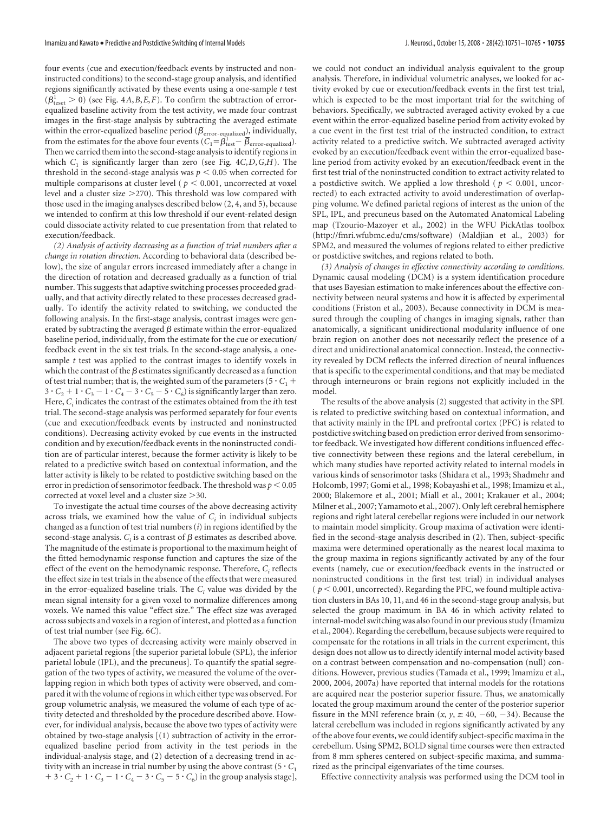four events (cue and execution/feedback events by instructed and noninstructed conditions) to the second-stage group analysis, and identified regions significantly activated by these events using a one-sample *t* test  $(\beta_{\text{test}}^1 > 0)$  (see Fig. 4*A*,*B*,*E*,*F*). To confirm the subtraction of errorequalized baseline activity from the test activity, we made four contrast images in the first-stage analysis by subtracting the averaged estimate within the error-equalized baseline period ( $\beta_{\rm error\text{-}equalized}$ ), individually, from the estimates for the above four events  $(C_1 = \beta_{\text{test}}^1 - \overline{\beta}_{\text{error-equalized}})$ . Then we carried them into the second-stage analysis to identify regions in which *C*<sup>1</sup> is significantly larger than zero (see Fig. 4*C*,*D*,*G*,*H*). The threshold in the second-stage analysis was  $p < 0.05$  when corrected for multiple comparisons at cluster level ( $p < 0.001$ , uncorrected at voxel level and a cluster size  $>$ 270). This threshold was low compared with those used in the imaging analyses described below (2, 4, and 5), because we intended to confirm at this low threshold if our event-related design could dissociate activity related to cue presentation from that related to execution/feedback.

*(2) Analysis of activity decreasing as a function of trial numbers after a change in rotation direction.* According to behavioral data (described below), the size of angular errors increased immediately after a change in the direction of rotation and decreased gradually as a function of trial number. This suggests that adaptive switching processes proceeded gradually, and that activity directly related to these processes decreased gradually. To identify the activity related to switching, we conducted the following analysis. In the first-stage analysis, contrast images were generated by subtracting the averaged  $\beta$  estimate within the error-equalized baseline period, individually, from the estimate for the cue or execution/ feedback event in the six test trials. In the second-stage analysis, a onesample *t* test was applied to the contrast images to identify voxels in which the contrast of the  $\beta$  estimates significantly decreased as a function of test trial number; that is, the weighted sum of the parameters (5  $\cdot$  C<sub>1</sub> +  $3 \cdot C_2 + 1 \cdot C_3 - 1 \cdot C_4 - 3 \cdot C_5 - 5 \cdot C_6$  is significantly larger than zero. Here, *Ci* indicates the contrast of the estimates obtained from the *i*th test trial. The second-stage analysis was performed separately for four events (cue and execution/feedback events by instructed and noninstructed conditions). Decreasing activity evoked by cue events in the instructed condition and by execution/feedback events in the noninstructed condition are of particular interest, because the former activity is likely to be related to a predictive switch based on contextual information, and the latter activity is likely to be related to postdictive switching based on the error in prediction of sensorimotor feedback. The threshold was  $p < 0.05$ corrected at voxel level and a cluster size >30.

To investigate the actual time courses of the above decreasing activity across trials, we examined how the value of  $C_i$  in individual subjects changed as a function of test trial numbers (*i*) in regions identified by the second-stage analysis.  $C_i$  is a contrast of  $\beta$  estimates as described above. The magnitude of the estimate is proportional to the maximum height of the fitted hemodynamic response function and captures the size of the effect of the event on the hemodynamic response. Therefore,  $C_i$  reflects the effect size in test trials in the absence of the effects that were measured in the error-equalized baseline trials. The  $C_i$  value was divided by the mean signal intensity for a given voxel to normalize differences among voxels. We named this value "effect size." The effect size was averaged across subjects and voxels in a region of interest, and plotted as a function of test trial number (see Fig. 6*C*).

The above two types of decreasing activity were mainly observed in adjacent parietal regions [the superior parietal lobule (SPL), the inferior parietal lobule (IPL), and the precuneus]. To quantify the spatial segregation of the two types of activity, we measured the volume of the overlapping region in which both types of activity were observed, and compared it with the volume of regions in which either type was observed. For group volumetric analysis, we measured the volume of each type of activity detected and thresholded by the procedure described above. However, for individual analysis, because the above two types of activity were obtained by two-stage analysis [(1) subtraction of activity in the errorequalized baseline period from activity in the test periods in the individual-analysis stage, and (2) detection of a decreasing trend in activity with an increase in trial number by using the above contrast  $(5 \cdot C_1)$  $+3 \cdot C_2 + 1 \cdot C_3 - 1 \cdot C_4 - 3 \cdot C_5 - 5 \cdot C_6$  in the group analysis stage],

we could not conduct an individual analysis equivalent to the group analysis. Therefore, in individual volumetric analyses, we looked for activity evoked by cue or execution/feedback events in the first test trial, which is expected to be the most important trial for the switching of behaviors. Specifically, we subtracted averaged activity evoked by a cue event within the error-equalized baseline period from activity evoked by a cue event in the first test trial of the instructed condition, to extract activity related to a predictive switch. We subtracted averaged activity evoked by an execution/feedback event within the error-equalized baseline period from activity evoked by an execution/feedback event in the first test trial of the noninstructed condition to extract activity related to a postdictive switch. We applied a low threshold ( $p < 0.001$ , uncorrected) to each extracted activity to avoid underestimation of overlapping volume. We defined parietal regions of interest as the union of the SPL, IPL, and precuneus based on the Automated Anatomical Labeling map (Tzourio-Mazoyer et al., 2002) in the WFU PickAtlas toolbox (http://fmri.wfubmc.edu/cms/software) (Maldjian et al., 2003) for SPM2, and measured the volumes of regions related to either predictive or postdictive switches, and regions related to both.

*(3) Analysis of changes in effective connectivity according to conditions.* Dynamic causal modeling (DCM) is a system identification procedure that uses Bayesian estimation to make inferences about the effective connectivity between neural systems and how it is affected by experimental conditions (Friston et al., 2003). Because connectivity in DCM is measured through the coupling of changes in imaging signals, rather than anatomically, a significant unidirectional modularity influence of one brain region on another does not necessarily reflect the presence of a direct and unidirectional anatomical connection. Instead, the connectivity revealed by DCM reflects the inferred direction of neural influences that is specific to the experimental conditions, and that may be mediated through interneurons or brain regions not explicitly included in the model.

The results of the above analysis (2) suggested that activity in the SPL is related to predictive switching based on contextual information, and that activity mainly in the IPL and prefrontal cortex (PFC) is related to postdictive switching based on prediction error derived from sensorimotor feedback. We investigated how different conditions influenced effective connectivity between these regions and the lateral cerebellum, in which many studies have reported activity related to internal models in various kinds of sensorimotor tasks (Shidara et al., 1993; Shadmehr and Holcomb, 1997; Gomi et al., 1998; Kobayashi et al., 1998; Imamizu et al., 2000; Blakemore et al., 2001; Miall et al., 2001; Krakauer et al., 2004; Milner et al., 2007; Yamamoto et al., 2007). Only left cerebral hemisphere regions and right lateral cerebellar regions were included in our network to maintain model simplicity. Group maxima of activation were identified in the second-stage analysis described in (2). Then, subject-specific maxima were determined operationally as the nearest local maxima to the group maxima in regions significantly activated by any of the four events (namely, cue or execution/feedback events in the instructed or noninstructed conditions in the first test trial) in individual analyses  $(p < 0.001$ , uncorrected). Regarding the PFC, we found multiple activation clusters in BAs 10, 11, and 46 in the second-stage group analysis, but selected the group maximum in BA 46 in which activity related to internal-model switching was also found in our previous study (Imamizu et al., 2004). Regarding the cerebellum, because subjects were required to compensate for the rotations in all trials in the current experiment, this design does not allow us to directly identify internal model activity based on a contrast between compensation and no-compensation (null) conditions. However, previous studies (Tamada et al., 1999; Imamizu et al., 2000, 2004, 2007a) have reported that internal models for the rotations are acquired near the posterior superior fissure. Thus, we anatomically located the group maximum around the center of the posterior superior fissure in the MNI reference brain  $(x, y, z: 40, -60, -34)$ . Because the lateral cerebellum was included in regions significantly activated by any of the above four events, we could identify subject-specific maxima in the cerebellum. Using SPM2, BOLD signal time courses were then extracted from 8 mm spheres centered on subject-specific maxima, and summarized as the principal eigenvariates of the time courses.

Effective connectivity analysis was performed using the DCM tool in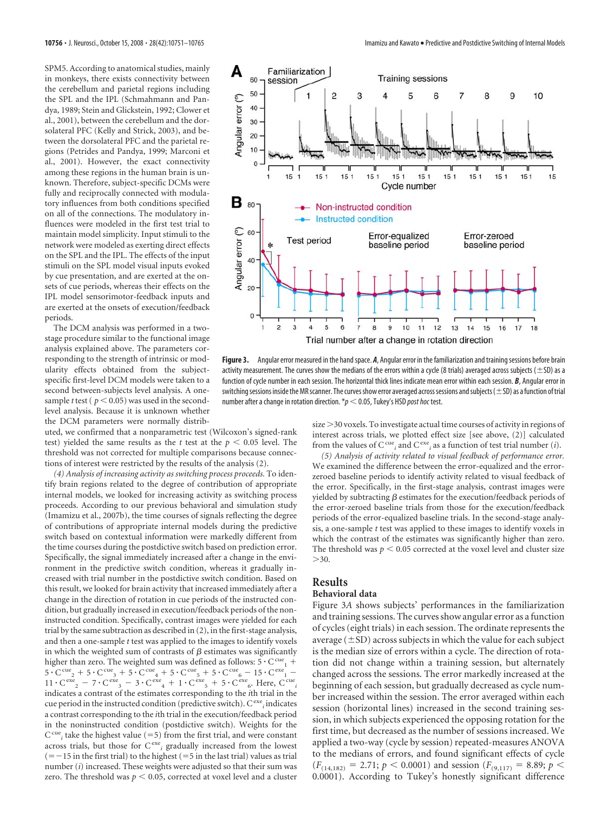SPM5. According to anatomical studies, mainly in monkeys, there exists connectivity between the cerebellum and parietal regions including the SPL and the IPL (Schmahmann and Pandya, 1989; Stein and Glickstein, 1992; Clower et al., 2001), between the cerebellum and the dorsolateral PFC (Kelly and Strick, 2003), and between the dorsolateral PFC and the parietal regions (Petrides and Pandya, 1999; Marconi et al., 2001). However, the exact connectivity among these regions in the human brain is unknown. Therefore, subject-specific DCMs were fully and reciprocally connected with modulatory influences from both conditions specified on all of the connections. The modulatory influences were modeled in the first test trial to maintain model simplicity. Input stimuli to the network were modeled as exerting direct effects on the SPL and the IPL. The effects of the input stimuli on the SPL model visual inputs evoked by cue presentation, and are exerted at the onsets of cue periods, whereas their effects on the IPL model sensorimotor-feedback inputs and are exerted at the onsets of execution/feedback periods.

The DCM analysis was performed in a twostage procedure similar to the functional image analysis explained above. The parameters corresponding to the strength of intrinsic or modularity effects obtained from the subjectspecific first-level DCM models were taken to a second between-subjects level analysis. A onesample *t* test ( $p < 0.05$ ) was used in the secondlevel analysis. Because it is unknown whether the DCM parameters were normally distrib-

uted, we confirmed that a nonparametric test (Wilcoxon's signed-rank test) yielded the same results as the  $t$  test at the  $p < 0.05$  level. The threshold was not corrected for multiple comparisons because connections of interest were restricted by the results of the analysis (2).

*(4) Analysis of increasing activity as switching process proceeds.* To identify brain regions related to the degree of contribution of appropriate internal models, we looked for increasing activity as switching process proceeds. According to our previous behavioral and simulation study (Imamizu et al., 2007b), the time courses of signals reflecting the degree of contributions of appropriate internal models during the predictive switch based on contextual information were markedly different from the time courses during the postdictive switch based on prediction error. Specifically, the signal immediately increased after a change in the environment in the predictive switch condition, whereas it gradually increased with trial number in the postdictive switch condition. Based on this result, we looked for brain activity that increased immediately after a change in the direction of rotation in cue periods of the instructed condition, but gradually increased in execution/feedback periods of the noninstructed condition. Specifically, contrast images were yielded for each trial by the same subtraction as described in (2), in the first-stage analysis, and then a one-sample *t* test was applied to the images to identify voxels in which the weighted sum of contrasts of  $\beta$  estimates was significantly higher than zero. The weighted sum was defined as follows:  $5 \cdot C^{cu}$ <sub>1</sub> +  $5 \cdot \text{C}^{\text{cue}} + 5 \cdot \text{C}^{\text{cue}} + 5 \cdot \text{C}^{\text{cue}} + 5 \cdot \text{C}^{\text{cue}} + 5 \cdot \text{C}^{\text{cue}} - 15 \cdot \text{C}^{\text{cxe}} - 11 \cdot \text{C}^{\text{cex}} - 11 \cdot \text{C}^{\text{cex}} - 7 \cdot \text{C}^{\text{cex}} - 3 \cdot \text{C}^{\text{cex}} + 1 \cdot \text{C}^{\text{cex}} - 5 \cdot \text{C}^{\text{cex}} - 5 \cdot \text{C}^{\text{c$ indicates a contrast of the estimates corresponding to the *i*th trial in the cue period in the instructed condition (predictive switch). C<sup>exe</sup><sub>*i*</sub> indicates a contrast corresponding to the *i*th trial in the execution/feedback period in the noninstructed condition (postdictive switch). Weights for the  $C^{cu}$ <sub>*i*</sub> take the highest value (=5) from the first trial, and were constant across trials, but those for C<sup>exe</sup><sub>i</sub> gradually increased from the lowest  $(=-15$  in the first trial) to the highest  $(=5$  in the last trial) values as trial number (*i*) increased. These weights were adjusted so that their sum was zero. The threshold was  $p < 0.05$ , corrected at voxel level and a cluster



**Figure 3.** Angular error measured in the hand space. *A*, Angular error in the familiarization and training sessions before brain activity measurement. The curves show the medians of the errors within a cycle (8 trials) averaged across subjects ( $\pm$ SD) as a function of cycle number in each session. The horizontal thick lines indicate mean error within each session. *B*, Angular error in switching sessions inside the MR scanner. The curves show error averaged across sessions and subjects ( $\pm$ SD) as a function of trial number after a change in rotation direction.  $p < 0.05$ , Tukey's HSD *post hoc* test.

size 30 voxels. To investigate actual time courses of activity in regions of interest across trials, we plotted effect size [see above, (2)] calculated from the values of  $C^{cu}$ <sub>*i*</sub> and  $C^{exc}$ <sub>*i*</sub> as a function of test trial number (*i*).

*(5) Analysis of activity related to visual feedback of performance error.* We examined the difference between the error-equalized and the errorzeroed baseline periods to identify activity related to visual feedback of the error. Specifically, in the first-stage analysis, contrast images were yielded by subtracting  $\beta$  estimates for the execution/feedback periods of the error-zeroed baseline trials from those for the execution/feedback periods of the error-equalized baseline trials. In the second-stage analysis, a one-sample *t* test was applied to these images to identify voxels in which the contrast of the estimates was significantly higher than zero. The threshold was  $p < 0.05$  corrected at the voxel level and cluster size  $>30.$ 

# **Results**

# **Behavioral data**

Figure 3*A* shows subjects' performances in the familiarization and training sessions. The curves show angular error as a function of cycles (eight trials) in each session. The ordinate represents the average  $(\pm SD)$  across subjects in which the value for each subject is the median size of errors within a cycle. The direction of rotation did not change within a training session, but alternately changed across the sessions. The error markedly increased at the beginning of each session, but gradually decreased as cycle number increased within the session. The error averaged within each session (horizontal lines) increased in the second training session, in which subjects experienced the opposing rotation for the first time, but decreased as the number of sessions increased. We applied a two-way (cycle by session) repeated-measures ANOVA to the medians of errors, and found significant effects of cycle  $(F_{(14,182)} = 2.71; p < 0.0001)$  and session  $(F_{(9,117)} = 8.89; p <$ 0.0001). According to Tukey's honestly significant difference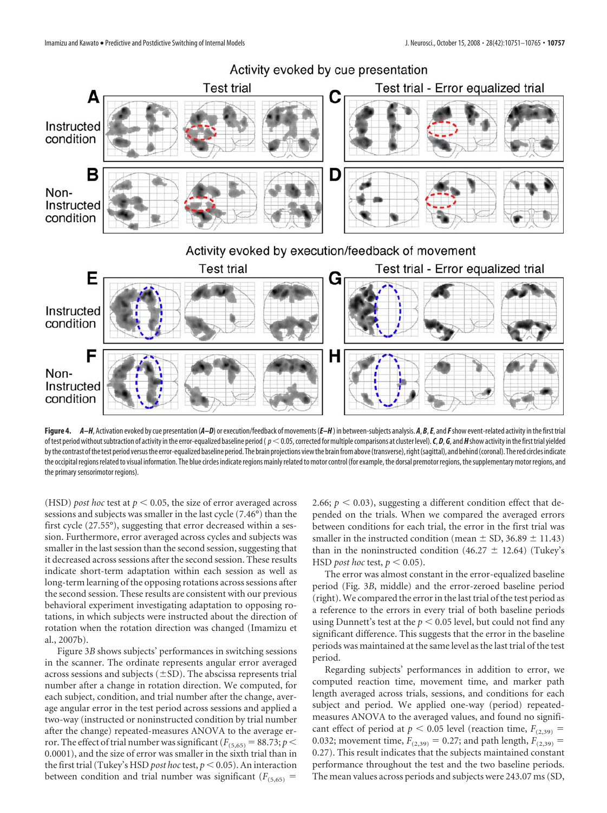

Figure 4.  $A-H$ , Activation evoked by cue presentation (A-D) or execution/feedback of movements (E-H) in between-subjects analysis. A, B, E, and F show event-related activity in the first trial of test period without subtraction of activity in the error-equalized baseline period ( $p < 0.05$ , corrected for multiple comparisons at cluster level). C, D, G, and H show activity in the first trial yielded by the contrast of the test period versus the error-equalized baseline period. The brain projections view the brain from above (transverse), right (sagittal), and behind (coronal). The red circles indicate the occipital regions related to visual information. The blue circles indicate regions mainly related to motor control (for example, the dorsal premotor regions, the supplementary motor regions, and the primary sensorimotor regions).

(HSD) *post hoc* test at  $p < 0.05$ , the size of error averaged across sessions and subjects was smaller in the last cycle (7.46°) than the first cycle (27.55°), suggesting that error decreased within a session. Furthermore, error averaged across cycles and subjects was smaller in the last session than the second session, suggesting that it decreased across sessions after the second session. These results indicate short-term adaptation within each session as well as long-term learning of the opposing rotations across sessions after the second session. These results are consistent with our previous behavioral experiment investigating adaptation to opposing rotations, in which subjects were instructed about the direction of rotation when the rotation direction was changed (Imamizu et al., 2007b).

Figure 3*B* shows subjects' performances in switching sessions in the scanner. The ordinate represents angular error averaged across sessions and subjects  $(\pm SD)$ . The abscissa represents trial number after a change in rotation direction. We computed, for each subject, condition, and trial number after the change, average angular error in the test period across sessions and applied a two-way (instructed or noninstructed condition by trial number after the change) repeated-measures ANOVA to the average error. The effect of trial number was significant ( $F_{(5,65)} = 88.73$ ;  $p <$ 0.0001), and the size of error was smaller in the sixth trial than in the first trial (Tukey's HSD *post hoc* test,  $p < 0.05$ ). An interaction between condition and trial number was significant  $(F_{(5,65)}$  =

2.66;  $p < 0.03$ ), suggesting a different condition effect that depended on the trials. When we compared the averaged errors between conditions for each trial, the error in the first trial was smaller in the instructed condition (mean  $\pm$  SD, 36.89  $\pm$  11.43) than in the noninstructed condition (46.27  $\pm$  12.64) (Tukey's HSD *post hoc* test,  $p < 0.05$ ).

The error was almost constant in the error-equalized baseline period (Fig. 3*B*, middle) and the error-zeroed baseline period (right).We compared the error in the last trial of the test period as a reference to the errors in every trial of both baseline periods using Dunnett's test at the  $p < 0.05$  level, but could not find any significant difference. This suggests that the error in the baseline periods was maintained at the same level as the last trial of the test period.

Regarding subjects' performances in addition to error, we computed reaction time, movement time, and marker path length averaged across trials, sessions, and conditions for each subject and period. We applied one-way (period) repeatedmeasures ANOVA to the averaged values, and found no significant effect of period at  $p < 0.05$  level (reaction time,  $F_{(2,39)}$  = 0.032; movement time,  $F_{(2,39)} = 0.27$ ; and path length,  $F_{(2,39)} =$ 0.27). This result indicates that the subjects maintained constant performance throughout the test and the two baseline periods. The mean values across periods and subjects were 243.07 ms (SD,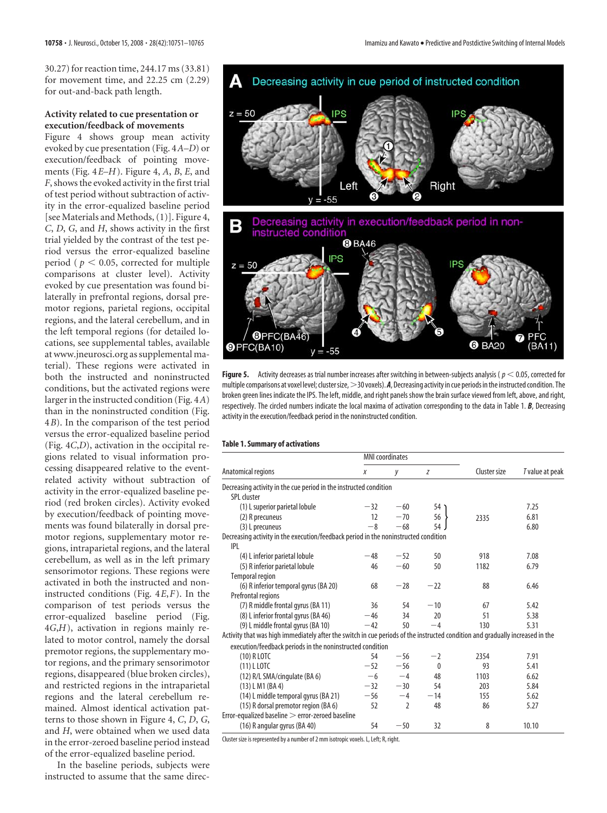30.27) for reaction time, 244.17 ms (33.81) for movement time, and 22.25 cm (2.29) for out-and-back path length.

## **Activity related to cue presentation or execution/feedback of movements**

Figure 4 shows group mean activity evoked by cue presentation (Fig. 4*A–D*) or execution/feedback of pointing movements (Fig. 4*E–H*). Figure 4, *A*, *B*, *E*, and *F*, shows the evoked activity in the first trial of test period without subtraction of activity in the error-equalized baseline period [see Materials and Methods, (1)]. Figure 4, *C*, *D*, *G*, and *H*, shows activity in the first trial yielded by the contrast of the test period versus the error-equalized baseline period ( $p < 0.05$ , corrected for multiple comparisons at cluster level). Activity evoked by cue presentation was found bilaterally in prefrontal regions, dorsal premotor regions, parietal regions, occipital regions, and the lateral cerebellum, and in the left temporal regions (for detailed locations, see supplemental tables, available at www.jneurosci.org as supplemental material). These regions were activated in both the instructed and noninstructed conditions, but the activated regions were larger in the instructed condition (Fig. 4*A*) than in the noninstructed condition (Fig. 4*B*). In the comparison of the test period versus the error-equalized baseline period (Fig. 4*C*,*D*), activation in the occipital regions related to visual information processing disappeared relative to the eventrelated activity without subtraction of activity in the error-equalized baseline period (red broken circles). Activity evoked by execution/feedback of pointing movements was found bilaterally in dorsal premotor regions, supplementary motor regions, intraparietal regions, and the lateral cerebellum, as well as in the left primary sensorimotor regions. These regions were activated in both the instructed and noninstructed conditions (Fig. 4*E*,*F*). In the comparison of test periods versus the error-equalized baseline period (Fig. 4*G*,*H*), activation in regions mainly related to motor control, namely the dorsal premotor regions, the supplementary motor regions, and the primary sensorimotor regions, disappeared (blue broken circles), and restricted regions in the intraparietal regions and the lateral cerebellum remained. Almost identical activation patterns to those shown in Figure 4, *C*, *D*, *G*, and *H*, were obtained when we used data in the error-zeroed baseline period instead of the error-equalized baseline period.

In the baseline periods, subjects were instructed to assume that the same direc-



**Figure 5.** Activity decreases as trial number increases after switching in between-subjects analysis ( $p < 0.05$ , corrected for multiple comparisons at voxel level; cluster size, >30 voxels). *A*, Decreasing activity in cue periods in the instructed condition. The broken green lines indicate the IPS. The left, middle, and right panels show the brain surface viewed from left, above, and right, respectively. The circled numbers indicate the local maxima of activation corresponding to the data in Table 1. *B*, Decreasing activity in the execution/feedback period in the noninstructed condition.

### **Table 1. Summary of activations**

| Anatomical regions                                                                                                            |       | <b>MNI</b> coordinates   |          |              | T value at peak |
|-------------------------------------------------------------------------------------------------------------------------------|-------|--------------------------|----------|--------------|-----------------|
|                                                                                                                               | X     | у                        | Z        | Cluster size |                 |
| Decreasing activity in the cue period in the instructed condition                                                             |       |                          |          |              |                 |
| SPL cluster                                                                                                                   |       |                          |          |              |                 |
| (1) L superior parietal lobule                                                                                                | $-32$ | $-60$                    | 54 1     |              | 7.25            |
| (2) R precuneus                                                                                                               | 12    | $-70$                    | 56       | 2335         | 6.81            |
| (3) L precuneus                                                                                                               | $-8$  | $-68$                    | 54       |              | 6.80            |
| Decreasing activity in the execution/feedback period in the noninstructed condition<br> P                                     |       |                          |          |              |                 |
| (4) L inferior parietal lobule                                                                                                | $-48$ | $-52$                    | 50       | 918          | 7.08            |
| (5) R inferior parietal lobule                                                                                                | 46    | $-60$                    | 50       | 1182         | 6.79            |
| <b>Temporal region</b>                                                                                                        |       |                          |          |              |                 |
| (6) R inferior temporal gyrus (BA 20)                                                                                         | 68    | $-28$                    | $-22$    | 88           | 6.46            |
| Prefrontal regions                                                                                                            |       |                          |          |              |                 |
| (7) R middle frontal gyrus (BA 11)                                                                                            | 36    | 54                       | $-10$    | 67           | 5.42            |
| (8) L inferior frontal gyrus (BA 46)                                                                                          | $-46$ | 34                       | 20       | 51           | 5.38            |
| (9) L middle frontal gyrus (BA 10)                                                                                            | $-42$ | 50                       | $-4$     | 130          | 5.31            |
| Activity that was high immediately after the switch in cue periods of the instructed condition and gradually increased in the |       |                          |          |              |                 |
| execution/feedback periods in the noninstructed condition                                                                     |       |                          |          |              |                 |
| (10) R LOTC                                                                                                                   | 54    | $-56$                    | $-2$     | 2354         | 7.91            |
| $(11)$ L LOTC                                                                                                                 | $-52$ | $-56$                    | $\Omega$ | 93           | 5.41            |
| (12) R/L SMA/cingulate (BA 6)                                                                                                 | $-6$  | $-4$                     | 48       | 1103         | 6.62            |
| $(13)$ L M1 (BA4)                                                                                                             | $-32$ | $-30$                    | 54       | 203          | 5.84            |
| (14) L middle temporal gyrus (BA 21)                                                                                          | $-56$ | $-4$                     | $-14$    | 155          | 5.62            |
| (15) R dorsal premotor region (BA 6)                                                                                          | 52    | $\overline{\phantom{a}}$ | 48       | 86           | 5.27            |
| Error-equalized baseline > error-zeroed baseline                                                                              |       |                          |          |              |                 |
| (16) R angular gyrus (BA 40)                                                                                                  | 54    | $-50$                    | 32       | 8            | 10.10           |

Cluster size is represented by a number of 2 mm isotropic voxels. L, Left; R, right.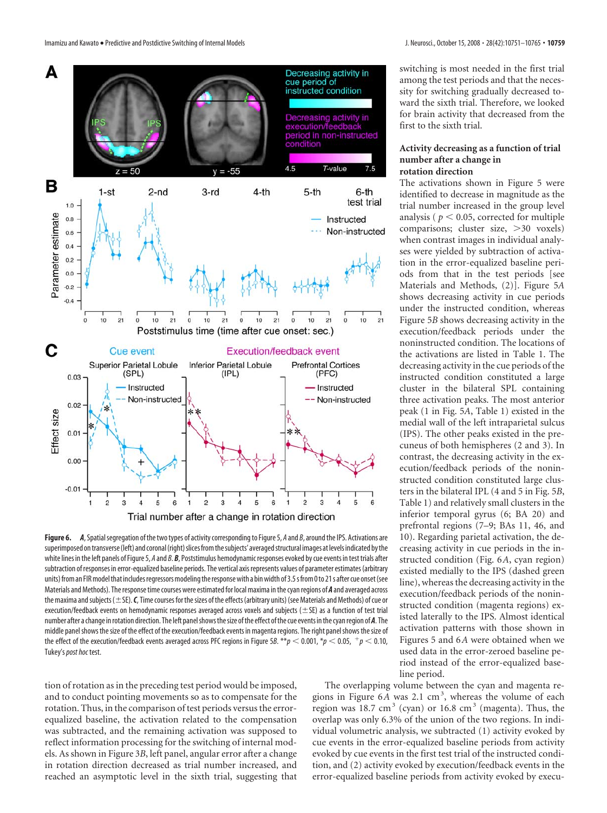

Figure 6. A, Spatial segregation of the two types of activity corresponding to Figure 5, A and B, around the IPS. Activations are superimposed on transverse (left) and coronal (right) slices from the subjects' averaged structural images at levels indicated by the white lines in the left panels of Figure 5, *A* and *B*. *B*, Poststimulus hemodynamic responses evoked by cue events in test trials after subtraction of responses in error-equalized baseline periods. The vertical axis represents values of parameter estimates (arbitrary units) from an FIR model that includes regressors modeling the response with a bin width of 3.5 s from 0 to 21 s after cue onset (see Materials and Methods). The responsetime courses were estimated for local maxima inthe cyan regions of *A* and averaged across the maxima and subjects ( $\pm$  SE). *C*, Time courses for the sizes of the effects (arbitrary units) (see Materials and Methods) of cue or execution/feedback events on hemodynamic responses averaged across voxels and subjects ( $\pm$ SE) as a function of test trial number after a change inrotation direction. The left panelshowsthesize ofthe effect ofthe cue events inthe cyanregion of *A*. The middle panel shows the size of the effect of the execution/feedback events in magenta regions. The right panel shows the size of the effect of the execution/feedback events averaged across PFC regions in Figure 5*B*. \*\* $p$  < 0.001, \* $p$  < 0.05,  $p$  +  $p$  < 0.10, Tukey's*post hoc* test.

tion of rotation as in the preceding test period would be imposed, and to conduct pointing movements so as to compensate for the rotation. Thus, in the comparison of test periods versus the errorequalized baseline, the activation related to the compensation was subtracted, and the remaining activation was supposed to reflect information processing for the switching of internal models. As shown in Figure 3*B*, left panel, angular error after a change in rotation direction decreased as trial number increased, and reached an asymptotic level in the sixth trial, suggesting that

switching is most needed in the first trial among the test periods and that the necessity for switching gradually decreased toward the sixth trial. Therefore, we looked for brain activity that decreased from the first to the sixth trial.

### **Activity decreasing as a function of trial number after a change in rotation direction**

The activations shown in Figure 5 were identified to decrease in magnitude as the trial number increased in the group level analysis ( $p < 0.05$ , corrected for multiple comparisons; cluster size, >30 voxels) when contrast images in individual analyses were yielded by subtraction of activation in the error-equalized baseline periods from that in the test periods [see Materials and Methods, (2)]. Figure 5*A* shows decreasing activity in cue periods under the instructed condition, whereas Figure 5*B* shows decreasing activity in the execution/feedback periods under the noninstructed condition. The locations of the activations are listed in Table 1. The decreasing activity in the cue periods of the instructed condition constituted a large cluster in the bilateral SPL containing three activation peaks. The most anterior peak (1 in Fig. 5*A*, Table 1) existed in the medial wall of the left intraparietal sulcus (IPS). The other peaks existed in the precuneus of both hemispheres (2 and 3). In contrast, the decreasing activity in the execution/feedback periods of the noninstructed condition constituted large clusters in the bilateral IPL (4 and 5 in Fig. 5*B*, Table 1) and relatively small clusters in the inferior temporal gyrus (6; BA 20) and prefrontal regions (7–9; BAs 11, 46, and 10). Regarding parietal activation, the decreasing activity in cue periods in the instructed condition (Fig. 6*A*, cyan region) existed medially to the IPS (dashed green line), whereas the decreasing activity in the execution/feedback periods of the noninstructed condition (magenta regions) existed laterally to the IPS. Almost identical activation patterns with those shown in Figures 5 and 6*A* were obtained when we used data in the error-zeroed baseline period instead of the error-equalized baseline period.

The overlapping volume between the cyan and magenta regions in Figure 6A was 2.1 cm<sup>3</sup>, whereas the volume of each region was 18.7 cm<sup>3</sup> (cyan) or 16.8 cm<sup>3</sup> (magenta). Thus, the overlap was only 6.3% of the union of the two regions. In individual volumetric analysis, we subtracted (1) activity evoked by cue events in the error-equalized baseline periods from activity evoked by cue events in the first test trial of the instructed condition, and (2) activity evoked by execution/feedback events in the error-equalized baseline periods from activity evoked by execu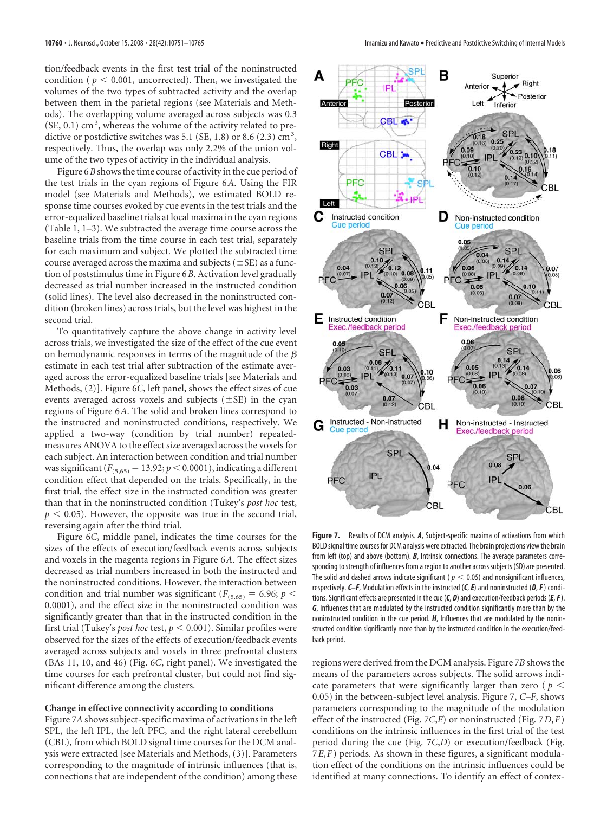tion/feedback events in the first test trial of the noninstructed condition ( $p < 0.001$ , uncorrected). Then, we investigated the volumes of the two types of subtracted activity and the overlap between them in the parietal regions (see Materials and Methods). The overlapping volume averaged across subjects was 0.3  $(SE, 0.1)$  cm<sup>3</sup>, whereas the volume of the activity related to predictive or postdictive switches was 5.1 (SE, 1.8) or 8.6 (2.3)  $\text{cm}^3$ , respectively. Thus, the overlap was only 2.2% of the union volume of the two types of activity in the individual analysis.

Figure 6*B* shows the time course of activity in the cue period of the test trials in the cyan regions of Figure 6*A*. Using the FIR model (see Materials and Methods), we estimated BOLD response time courses evoked by cue events in the test trials and the error-equalized baseline trials at local maxima in the cyan regions (Table 1, 1–3). We subtracted the average time course across the baseline trials from the time course in each test trial, separately for each maximum and subject. We plotted the subtracted time course averaged across the maxima and subjects ( $\pm$ SE) as a function of poststimulus time in Figure 6*B*. Activation level gradually decreased as trial number increased in the instructed condition (solid lines). The level also decreased in the noninstructed condition (broken lines) across trials, but the level was highest in the second trial.

To quantitatively capture the above change in activity level across trials, we investigated the size of the effect of the cue event on hemodynamic responses in terms of the magnitude of the  $\beta$ estimate in each test trial after subtraction of the estimate averaged across the error-equalized baseline trials [see Materials and Methods, (2)]. Figure 6*C*, left panel, shows the effect sizes of cue events averaged across voxels and subjects  $(\pm SE)$  in the cyan regions of Figure 6*A*. The solid and broken lines correspond to the instructed and noninstructed conditions, respectively. We applied a two-way (condition by trial number) repeatedmeasures ANOVA to the effect size averaged across the voxels for each subject. An interaction between condition and trial number was significant ( $F_{(5,65)} = 13.92$ ;  $p < 0.0001$ ), indicating a different condition effect that depended on the trials. Specifically, in the first trial, the effect size in the instructed condition was greater than that in the noninstructed condition (Tukey's *post hoc* test,  $p < 0.05$ ). However, the opposite was true in the second trial, reversing again after the third trial.

Figure 6*C*, middle panel, indicates the time courses for the sizes of the effects of execution/feedback events across subjects and voxels in the magenta regions in Figure 6*A*. The effect sizes decreased as trial numbers increased in both the instructed and the noninstructed conditions. However, the interaction between condition and trial number was significant ( $F$ <sub>(5,65)</sub> = 6.96; *p* < 0.0001), and the effect size in the noninstructed condition was significantly greater than that in the instructed condition in the first trial (Tukey's *post hoc* test,  $p < 0.001$ ). Similar profiles were observed for the sizes of the effects of execution/feedback events averaged across subjects and voxels in three prefrontal clusters (BAs 11, 10, and 46) (Fig. 6*C*, right panel). We investigated the time courses for each prefrontal cluster, but could not find significant difference among the clusters.

### **Change in effective connectivity according to conditions**

Figure 7*A* shows subject-specific maxima of activations in the left SPL, the left IPL, the left PFC, and the right lateral cerebellum (CBL), from which BOLD signal time courses for the DCM analysis were extracted [see Materials and Methods, (3)]. Parameters corresponding to the magnitude of intrinsic influences (that is, connections that are independent of the condition) among these



**Figure 7.** Results of DCM analysis. *A*, Subject-specific maxima of activations from which BOLD signal time courses for DCM analysis were extracted. The brain projections view the brain from left (top) and above (bottom). *B*, Intrinsic connections. The average parameters corresponding to strength of influences from a region to another across subjects (SD) are presented. The solid and dashed arrows indicate significant ( $p < 0.05$ ) and nonsignificant influences, respectively.*C–F*, Modulation effects in the instructed (*C*,*E*) and noninstructed (*D*,*F*) conditions. Significant effects are presented in the cue (*C*, *D*) and execution/feedback periods (*E*,*F*). *G*, Influences that are modulated by the instructed condition significantly more than by the noninstructed condition in the cue period. *H*, Influences that are modulated by the noninstructed condition significantly more than by the instructed condition in the execution/feedback period.

regions were derived from the DCM analysis. Figure 7*B* shows the means of the parameters across subjects. The solid arrows indicate parameters that were significantly larger than zero ( $p <$ 0.05) in the between-subject level analysis. Figure 7, *C–F*, shows parameters corresponding to the magnitude of the modulation effect of the instructed (Fig. 7*C*,*E*) or noninstructed (Fig. 7*D*,*F*) conditions on the intrinsic influences in the first trial of the test period during the cue (Fig. 7*C*,*D*) or execution/feedback (Fig. 7*E*,*F*) periods. As shown in these figures, a significant modulation effect of the conditions on the intrinsic influences could be identified at many connections. To identify an effect of contex-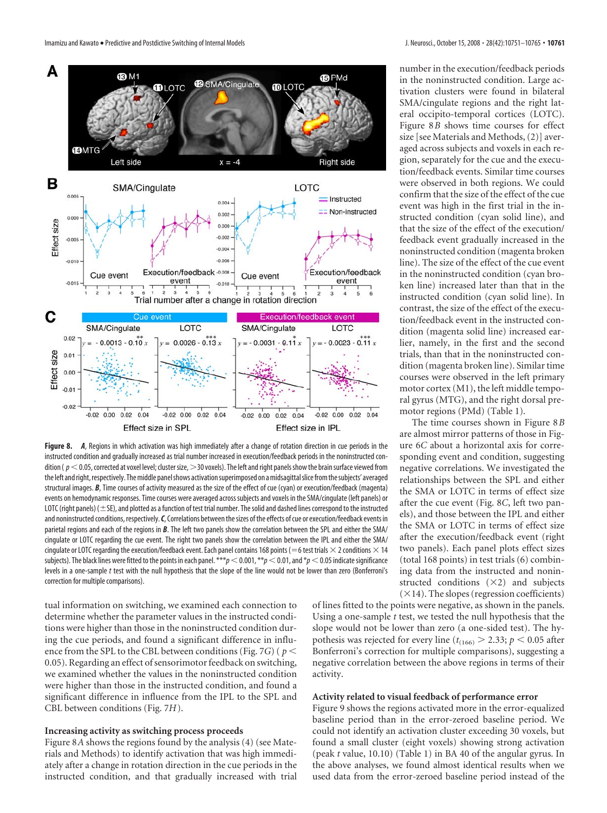

**Figure 8.** *A*, Regions in which activation was high immediately after a change of rotation direction in cue periods in the instructed condition and gradually increased as trial number increased in execution/feedback periods in the noninstructed condition ( $p<$  0.05, corrected at voxel level; cluster size, >30 voxels). The left and right panels show the brain surface viewed from the left and right, respectively. The middle panel shows activation superimposed on a midsagittal slice from the subjects' averaged structural images. **B**, Time courses of activity measured as the size of the effect of cue (cyan) or execution/feedback (magenta) events on hemodynamic responses. Time courses were averaged across subjects and voxels in the SMA/cingulate (left panels) or LOTC (right panels) ( $\pm$  SE), and plotted as a function of test trial number. The solid and dashed lines correspond to the instructed and noninstructed conditions, respectively.*C*, Correlations between thesizes of the effects of cue or execution/feedback events in parietal regions and each of the regions in **B**. The left two panels show the correlation between the SPL and either the SMA/ cingulate or LOTC regarding the cue event. The right two panels show the correlation between the IPL and either the SMA/ cingulate or LOTC regarding the execution/feedback event. Each panel contains 168 points (=6 test trials  $\times$  2 conditions  $\times$  14 subjects). The black lines were fitted to the points in each panel. \*\*\* $p$  < 0.001, \*\* $p$  < 0.01, and  $p$  < 0.05 indicate significance levels in a one-sample *t* test with the null hypothesis that the slope of the line would not be lower than zero (Bonferroni's correction for multiple comparisons).

tual information on switching, we examined each connection to determine whether the parameter values in the instructed conditions were higher than those in the noninstructed condition during the cue periods, and found a significant difference in influence from the SPL to the CBL between conditions (Fig. 7*G*) ( *p* 0.05). Regarding an effect of sensorimotor feedback on switching, we examined whether the values in the noninstructed condition were higher than those in the instructed condition, and found a significant difference in influence from the IPL to the SPL and CBL between conditions (Fig. 7*H*).

### **Increasing activity as switching process proceeds**

Figure 8*A* shows the regions found by the analysis (4) (see Materials and Methods) to identify activation that was high immediately after a change in rotation direction in the cue periods in the instructed condition, and that gradually increased with trial number in the execution/feedback periods in the noninstructed condition. Large activation clusters were found in bilateral SMA/cingulate regions and the right lateral occipito-temporal cortices (LOTC). Figure 8*B* shows time courses for effect size [see Materials and Methods, (2)] averaged across subjects and voxels in each region, separately for the cue and the execution/feedback events. Similar time courses were observed in both regions. We could confirm that the size of the effect of the cue event was high in the first trial in the instructed condition (cyan solid line), and that the size of the effect of the execution/ feedback event gradually increased in the noninstructed condition (magenta broken line). The size of the effect of the cue event in the noninstructed condition (cyan broken line) increased later than that in the instructed condition (cyan solid line). In contrast, the size of the effect of the execution/feedback event in the instructed condition (magenta solid line) increased earlier, namely, in the first and the second trials, than that in the noninstructed condition (magenta broken line). Similar time courses were observed in the left primary motor cortex (M1), the left middle temporal gyrus (MTG), and the right dorsal premotor regions (PMd) (Table 1).

The time courses shown in Figure 8*B* are almost mirror patterns of those in Figure 6*C* about a horizontal axis for corresponding event and condition, suggesting negative correlations. We investigated the relationships between the SPL and either the SMA or LOTC in terms of effect size after the cue event (Fig. 8*C*, left two panels), and those between the IPL and either the SMA or LOTC in terms of effect size after the execution/feedback event (right two panels). Each panel plots effect sizes (total 168 points) in test trials (6) combining data from the instructed and noninstructed conditions  $(\times 2)$  and subjects  $(\times 14)$ . The slopes (regression coefficients)

of lines fitted to the points were negative, as shown in the panels. Using a one-sample *t* test, we tested the null hypothesis that the slope would not be lower than zero (a one-sided test). The hypothesis was rejected for every line ( $t_{(166)}$  > 2.33;  $p$  < 0.05 after Bonferroni's correction for multiple comparisons), suggesting a negative correlation between the above regions in terms of their activity.

### **Activity related to visual feedback of performance error**

Figure 9 shows the regions activated more in the error-equalized baseline period than in the error-zeroed baseline period. We could not identify an activation cluster exceeding 30 voxels, but found a small cluster (eight voxels) showing strong activation (peak *t* value, 10.10) (Table 1) in BA 40 of the angular gyrus. In the above analyses, we found almost identical results when we used data from the error-zeroed baseline period instead of the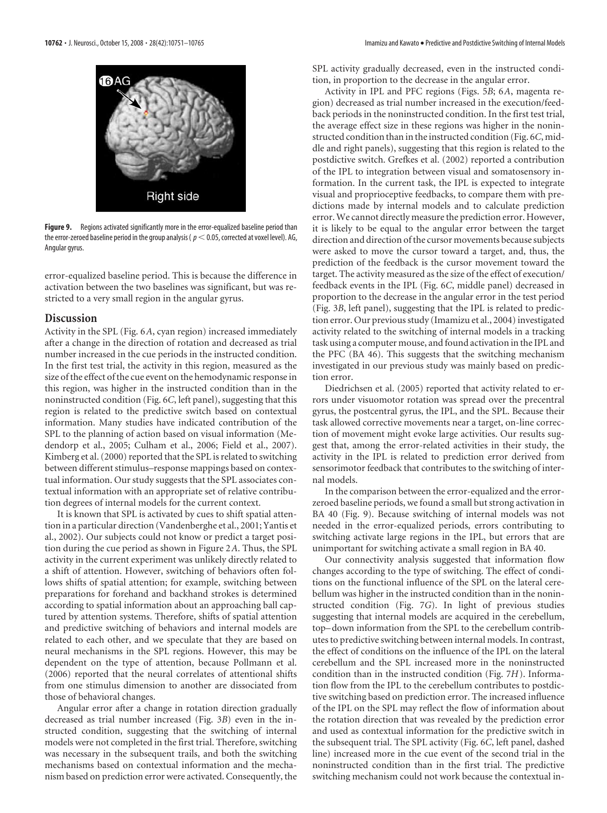

**Figure 9.** Regions activated significantly more in the error-equalized baseline period than the error-zeroed baseline period in the group analysis ( $p < 0.05$ , corrected at voxel level). AG, Angular gyrus.

error-equalized baseline period. This is because the difference in activation between the two baselines was significant, but was restricted to a very small region in the angular gyrus.

# **Discussion**

Activity in the SPL (Fig. 6*A*, cyan region) increased immediately after a change in the direction of rotation and decreased as trial number increased in the cue periods in the instructed condition. In the first test trial, the activity in this region, measured as the size of the effect of the cue event on the hemodynamic response in this region, was higher in the instructed condition than in the noninstructed condition (Fig. 6*C*, left panel), suggesting that this region is related to the predictive switch based on contextual information. Many studies have indicated contribution of the SPL to the planning of action based on visual information (Medendorp et al., 2005; Culham et al., 2006; Field et al., 2007). Kimberg et al. (2000) reported that the SPL is related to switching between different stimulus–response mappings based on contextual information. Our study suggests that the SPL associates contextual information with an appropriate set of relative contribution degrees of internal models for the current context.

It is known that SPL is activated by cues to shift spatial attention in a particular direction (Vandenberghe et al., 2001; Yantis et al., 2002). Our subjects could not know or predict a target position during the cue period as shown in Figure 2*A*. Thus, the SPL activity in the current experiment was unlikely directly related to a shift of attention. However, switching of behaviors often follows shifts of spatial attention; for example, switching between preparations for forehand and backhand strokes is determined according to spatial information about an approaching ball captured by attention systems. Therefore, shifts of spatial attention and predictive switching of behaviors and internal models are related to each other, and we speculate that they are based on neural mechanisms in the SPL regions. However, this may be dependent on the type of attention, because Pollmann et al. (2006) reported that the neural correlates of attentional shifts from one stimulus dimension to another are dissociated from those of behavioral changes.

Angular error after a change in rotation direction gradually decreased as trial number increased (Fig. 3*B*) even in the instructed condition, suggesting that the switching of internal models were not completed in the first trial. Therefore, switching was necessary in the subsequent trails, and both the switching mechanisms based on contextual information and the mechanism based on prediction error were activated. Consequently, the

SPL activity gradually decreased, even in the instructed condition, in proportion to the decrease in the angular error.

Activity in IPL and PFC regions (Figs. 5*B*; 6*A*, magenta region) decreased as trial number increased in the execution/feedback periods in the noninstructed condition. In the first test trial, the average effect size in these regions was higher in the noninstructed condition than in the instructed condition (Fig. 6*C*, middle and right panels), suggesting that this region is related to the postdictive switch. Grefkes et al. (2002) reported a contribution of the IPL to integration between visual and somatosensory information. In the current task, the IPL is expected to integrate visual and proprioceptive feedbacks, to compare them with predictions made by internal models and to calculate prediction error.We cannot directly measure the prediction error. However, it is likely to be equal to the angular error between the target direction and direction of the cursor movements because subjects were asked to move the cursor toward a target, and, thus, the prediction of the feedback is the cursor movement toward the target. The activity measured as the size of the effect of execution/ feedback events in the IPL (Fig. 6*C*, middle panel) decreased in proportion to the decrease in the angular error in the test period (Fig. 3*B*, left panel), suggesting that the IPL is related to prediction error. Our previous study (Imamizu et al., 2004) investigated activity related to the switching of internal models in a tracking task using a computer mouse, and found activation in the IPL and the PFC (BA 46). This suggests that the switching mechanism investigated in our previous study was mainly based on prediction error.

Diedrichsen et al. (2005) reported that activity related to errors under visuomotor rotation was spread over the precentral gyrus, the postcentral gyrus, the IPL, and the SPL. Because their task allowed corrective movements near a target, on-line correction of movement might evoke large activities. Our results suggest that, among the error-related activities in their study, the activity in the IPL is related to prediction error derived from sensorimotor feedback that contributes to the switching of internal models.

In the comparison between the error-equalized and the errorzeroed baseline periods, we found a small but strong activation in BA 40 (Fig. 9). Because switching of internal models was not needed in the error-equalized periods, errors contributing to switching activate large regions in the IPL, but errors that are unimportant for switching activate a small region in BA 40.

Our connectivity analysis suggested that information flow changes according to the type of switching. The effect of conditions on the functional influence of the SPL on the lateral cerebellum was higher in the instructed condition than in the noninstructed condition (Fig. 7*G*). In light of previous studies suggesting that internal models are acquired in the cerebellum, top– down information from the SPL to the cerebellum contributes to predictive switching between internal models. In contrast, the effect of conditions on the influence of the IPL on the lateral cerebellum and the SPL increased more in the noninstructed condition than in the instructed condition (Fig. 7*H*). Information flow from the IPL to the cerebellum contributes to postdictive switching based on prediction error. The increased influence of the IPL on the SPL may reflect the flow of information about the rotation direction that was revealed by the prediction error and used as contextual information for the predictive switch in the subsequent trial. The SPL activity (Fig. 6*C*, left panel, dashed line) increased more in the cue event of the second trial in the noninstructed condition than in the first trial. The predictive switching mechanism could not work because the contextual in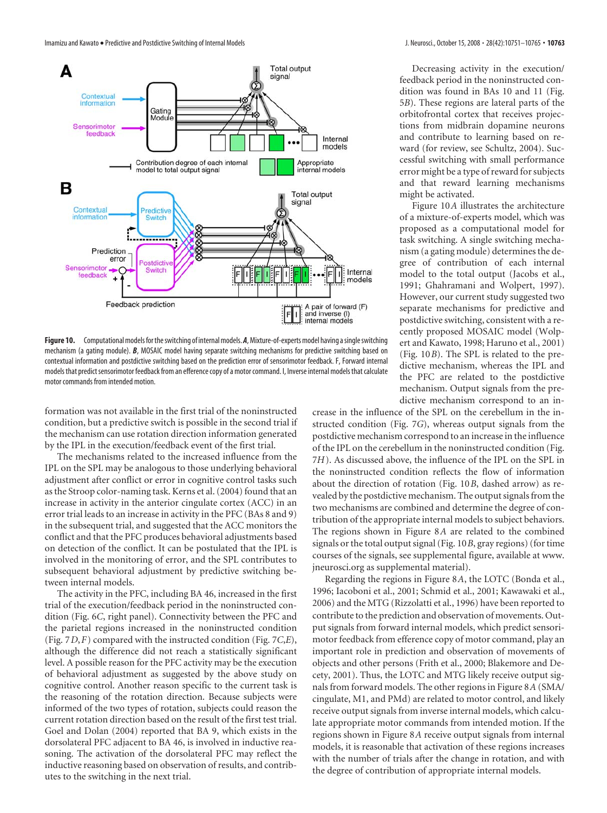Imamizu and Kawato • Predictive and Postdictive Switching of Internal Models **J. Neuroscition Campions 10761 10763 • 10763 • 10763 • 10763 • 10763 • 10763 • 10763 • 10763 • 10763 • 10763 • 10763 • 1** 



Decreasing activity in the execution/ feedback period in the noninstructed condition was found in BAs 10 and 11 (Fig. 5*B*). These regions are lateral parts of the orbitofrontal cortex that receives projections from midbrain dopamine neurons and contribute to learning based on reward (for review, see Schultz, 2004). Successful switching with small performance error might be a type of reward for subjects and that reward learning mechanisms might be activated.

Figure 10*A* illustrates the architecture of a mixture-of-experts model, which was proposed as a computational model for task switching. A single switching mechanism (a gating module) determines the degree of contribution of each internal model to the total output (Jacobs et al., 1991; Ghahramani and Wolpert, 1997). However, our current study suggested two separate mechanisms for predictive and postdictive switching, consistent with a recently proposed MOSAIC model (Wolpert and Kawato, 1998; Haruno et al., 2001) (Fig. 10*B*). The SPL is related to the predictive mechanism, whereas the IPL and the PFC are related to the postdictive mechanism. Output signals from the predictive mechanism correspond to an in-

**Figure 10.** Computational models for the switching of internal models. A, Mixture-of-experts model having a single switching mechanism (a gating module). *B*, MOSAIC model having separate switching mechanisms for predictive switching based on contextual information and postdictive switching based on the prediction error of sensorimotor feedback. F, Forward internal models that predict sensorimotor feedback from an efference copy of a motor command. I, Inverse internal models that calculate motor commands from intended motion.

formation was not available in the first trial of the noninstructed condition, but a predictive switch is possible in the second trial if the mechanism can use rotation direction information generated by the IPL in the execution/feedback event of the first trial.

The mechanisms related to the increased influence from the IPL on the SPL may be analogous to those underlying behavioral adjustment after conflict or error in cognitive control tasks such as the Stroop color-naming task. Kerns et al. (2004) found that an increase in activity in the anterior cingulate cortex (ACC) in an error trial leads to an increase in activity in the PFC (BAs 8 and 9) in the subsequent trial, and suggested that the ACC monitors the conflict and that the PFC produces behavioral adjustments based on detection of the conflict. It can be postulated that the IPL is involved in the monitoring of error, and the SPL contributes to subsequent behavioral adjustment by predictive switching between internal models.

The activity in the PFC, including BA 46, increased in the first trial of the execution/feedback period in the noninstructed condition (Fig. 6*C*, right panel). Connectivity between the PFC and the parietal regions increased in the noninstructed condition (Fig. 7*D*,*F*) compared with the instructed condition (Fig. 7*C*,*E*), although the difference did not reach a statistically significant level. A possible reason for the PFC activity may be the execution of behavioral adjustment as suggested by the above study on cognitive control. Another reason specific to the current task is the reasoning of the rotation direction. Because subjects were informed of the two types of rotation, subjects could reason the current rotation direction based on the result of the first test trial. Goel and Dolan (2004) reported that BA 9, which exists in the dorsolateral PFC adjacent to BA 46, is involved in inductive reasoning. The activation of the dorsolateral PFC may reflect the inductive reasoning based on observation of results, and contributes to the switching in the next trial.

crease in the influence of the SPL on the cerebellum in the instructed condition (Fig. 7*G*), whereas output signals from the postdictive mechanism correspond to an increase in the influence of the IPL on the cerebellum in the noninstructed condition (Fig. 7*H*). As discussed above, the influence of the IPL on the SPL in the noninstructed condition reflects the flow of information about the direction of rotation (Fig. 10*B*, dashed arrow) as revealed by the postdictive mechanism. The output signals from the two mechanisms are combined and determine the degree of contribution of the appropriate internal models to subject behaviors. The regions shown in Figure 8*A* are related to the combined signals or the total output signal (Fig. 10*B*, gray regions) (for time courses of the signals, see supplemental figure, available at www. jneurosci.org as supplemental material).

Regarding the regions in Figure 8*A*, the LOTC (Bonda et al., 1996; Iacoboni et al., 2001; Schmid et al., 2001; Kawawaki et al., 2006) and the MTG (Rizzolatti et al., 1996) have been reported to contribute to the prediction and observation of movements. Output signals from forward internal models, which predict sensorimotor feedback from efference copy of motor command, play an important role in prediction and observation of movements of objects and other persons (Frith et al., 2000; Blakemore and Decety, 2001). Thus, the LOTC and MTG likely receive output signals from forward models. The other regions in Figure 8*A* (SMA/ cingulate, M1, and PMd) are related to motor control, and likely receive output signals from inverse internal models, which calculate appropriate motor commands from intended motion. If the regions shown in Figure 8*A* receive output signals from internal models, it is reasonable that activation of these regions increases with the number of trials after the change in rotation, and with the degree of contribution of appropriate internal models.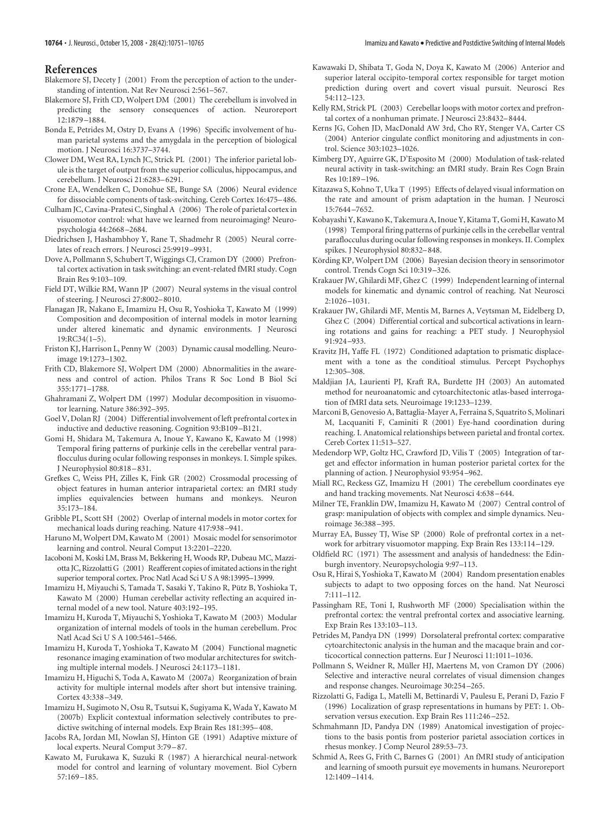### **References**

- Blakemore SJ, Decety J (2001) From the perception of action to the understanding of intention. Nat Rev Neurosci 2:561–567.
- Blakemore SJ, Frith CD, Wolpert DM (2001) The cerebellum is involved in predicting the sensory consequences of action. Neuroreport 12:1879 –1884.
- Bonda E, Petrides M, Ostry D, Evans A (1996) Specific involvement of human parietal systems and the amygdala in the perception of biological motion. J Neurosci 16:3737–3744.
- Clower DM, West RA, Lynch JC, Strick PL (2001) The inferior parietal lobule is the target of output from the superior colliculus, hippocampus, and cerebellum. J Neurosci 21:6283–6291.
- Crone EA, Wendelken C, Donohue SE, Bunge SA (2006) Neural evidence for dissociable components of task-switching. Cereb Cortex 16:475–486.
- Culham JC, Cavina-Pratesi C, Singhal A (2006) The role of parietal cortex in visuomotor control: what have we learned from neuroimaging? Neuropsychologia 44:2668 –2684.
- Diedrichsen J, Hashambhoy Y, Rane T, Shadmehr R (2005) Neural correlates of reach errors. J Neurosci 25:9919 –9931.
- Dove A, Pollmann S, Schubert T, Wiggings CJ, Cramon DY (2000) Prefrontal cortex activation in task switching: an event-related fMRI study. Cogn Brain Res 9:103–109.
- Field DT, Wilkie RM, Wann JP (2007) Neural systems in the visual control of steering. J Neurosci 27:8002–8010.
- Flanagan JR, Nakano E, Imamizu H, Osu R, Yoshioka T, Kawato M (1999) Composition and decomposition of internal models in motor learning under altered kinematic and dynamic environments. J Neurosci 19:RC34(1–5).
- Friston KJ, Harrison L, Penny W (2003) Dynamic causal modelling. Neuroimage 19:1273–1302.
- Frith CD, Blakemore SJ, Wolpert DM (2000) Abnormalities in the awareness and control of action. Philos Trans R Soc Lond B Biol Sci 355:1771–1788.
- Ghahramani Z, Wolpert DM (1997) Modular decomposition in visuomotor learning. Nature 386:392–395.
- Goel V, Dolan RJ (2004) Differential involvement of left prefrontal cortex in inductive and deductive reasoning. Cognition 93:B109 –B121.
- Gomi H, Shidara M, Takemura A, Inoue Y, Kawano K, Kawato M (1998) Temporal firing patterns of purkinje cells in the cerebellar ventral paraflocculus during ocular following responses in monkeys. I. Simple spikes. J Neurophysiol 80:818 –831.
- Grefkes C, Weiss PH, Zilles K, Fink GR (2002) Crossmodal processing of object features in human anterior intraparietal cortex: an fMRI study implies equivalencies between humans and monkeys. Neuron 35:173–184.
- Gribble PL, Scott SH (2002) Overlap of internal models in motor cortex for mechanical loads during reaching. Nature 417:938 –941.
- Haruno M, Wolpert DM, Kawato M (2001) Mosaic model for sensorimotor learning and control. Neural Comput 13:2201–2220.
- Iacoboni M, Koski LM, Brass M, Bekkering H, Woods RP, Dubeau MC, Mazziotta JC, Rizzolatti G (2001) Reafferent copies of imitated actions in the right superior temporal cortex. Proc Natl Acad Sci U S A 98:13995–13999.
- Imamizu H, Miyauchi S, Tamada T, Sasaki Y, Takino R, Pütz B, Yoshioka T, Kawato M (2000) Human cerebellar activity reflecting an acquired internal model of a new tool. Nature 403:192–195.
- Imamizu H, Kuroda T, Miyauchi S, Yoshioka T, Kawato M (2003) Modular organization of internal models of tools in the human cerebellum. Proc Natl Acad Sci U S A 100:5461–5466.
- Imamizu H, Kuroda T, Yoshioka T, Kawato M (2004) Functional magnetic resonance imaging examination of two modular architectures for switching multiple internal models. J Neurosci 24:1173–1181.
- Imamizu H, Higuchi S, Toda A, Kawato M (2007a) Reorganization of brain activity for multiple internal models after short but intensive training. Cortex 43:338 –349.
- Imamizu H, Sugimoto N, Osu R, Tsutsui K, Sugiyama K, Wada Y, Kawato M (2007b) Explicit contextual information selectively contributes to predictive switching of internal models. Exp Brain Res 181:395–408.
- Jacobs RA, Jordan MI, Nowlan SJ, Hinton GE (1991) Adaptive mixture of local experts. Neural Comput 3:79 –87.
- Kawato M, Furukawa K, Suzuki R (1987) A hierarchical neural-network model for control and learning of voluntary movement. Biol Cybern 57:169 –185.
- Kawawaki D, Shibata T, Goda N, Doya K, Kawato M (2006) Anterior and superior lateral occipito-temporal cortex responsible for target motion prediction during overt and covert visual pursuit. Neurosci Res 54:112–123.
- Kelly RM, Strick PL (2003) Cerebellar loops with motor cortex and prefrontal cortex of a nonhuman primate. J Neurosci 23:8432–8444.
- Kerns JG, Cohen JD, MacDonald AW 3rd, Cho RY, Stenger VA, Carter CS (2004) Anterior cingulate conflict monitoring and adjustments in control. Science 303:1023–1026.
- Kimberg DY, Aguirre GK, D'Esposito M (2000) Modulation of task-related neural activity in task-switching: an fMRI study. Brain Res Cogn Brain Res 10:189 –196.
- Kitazawa S, Kohno T, Uka T (1995) Effects of delayed visual information on the rate and amount of prism adaptation in the human. J Neurosci 15:7644 –7652.
- Kobayashi Y, Kawano K, Takemura A, Inoue Y, Kitama T, Gomi H, Kawato M (1998) Temporal firing patterns of purkinje cells in the cerebellar ventral paraflocculus during ocular following responses in monkeys. II. Complex spikes. J Neurophysiol 80:832–848.
- Körding KP, Wolpert DM (2006) Bayesian decision theory in sensorimotor control. Trends Cogn Sci 10:319 –326.
- Krakauer JW, Ghilardi MF, Ghez C (1999) Independent learning of internal models for kinematic and dynamic control of reaching. Nat Neurosci 2:1026 –1031.
- Krakauer JW, Ghilardi MF, Mentis M, Barnes A, Veytsman M, Eidelberg D, Ghez C (2004) Differential cortical and subcortical activations in learning rotations and gains for reaching: a PET study. J Neurophysiol 91:924 –933.
- Kravitz JH, Yaffe FL (1972) Conditioned adaptation to prismatic displacement with a tone as the conditioal stimulus. Percept Psychophys 12:305–308.
- Maldjian JA, Laurienti PJ, Kraft RA, Burdette JH (2003) An automated method for neuroanatomic and cytoarchitectonic atlas-based interrogation of fMRI data sets. Neuroimage 19:1233–1239.
- Marconi B, Genovesio A, Battaglia-Mayer A, Ferraina S, Squatrito S, Molinari M, Lacquaniti F, Caminiti R (2001) Eye-hand coordination during reaching. I. Anatomical relationships between parietal and frontal cortex. Cereb Cortex 11:513–527.
- Medendorp WP, Goltz HC, Crawford JD, Vilis T (2005) Integration of target and effector information in human posterior parietal cortex for the planning of action. J Neurophysiol 93:954 –962.
- Miall RC, Reckess GZ, Imamizu H (2001) The cerebellum coordinates eye and hand tracking movements. Nat Neurosci 4:638 –644.
- Milner TE, Franklin DW, Imamizu H, Kawato M (2007) Central control of grasp: manipulation of objects with complex and simple dynamics. Neuroimage 36:388 –395.
- Murray EA, Bussey TJ, Wise SP (2000) Role of prefrontal cortex in a network for arbitrary visuomotor mapping. Exp Brain Res 133:114 –129.
- Oldfield RC (1971) The assessment and analysis of handedness: the Edinburgh inventory. Neuropsychologia 9:97–113.
- Osu R, Hirai S, Yoshioka T, Kawato M (2004) Random presentation enables subjects to adapt to two opposing forces on the hand. Nat Neurosci 7:111–112.
- Passingham RE, Toni I, Rushworth MF (2000) Specialisation within the prefrontal cortex: the ventral prefrontal cortex and associative learning. Exp Brain Res 133:103–113.
- Petrides M, Pandya DN (1999) Dorsolateral prefrontal cortex: comparative cytoarchitectonic analysis in the human and the macaque brain and corticocortical connection patterns. Eur J Neurosci 11:1011–1036.
- Pollmann S, Weidner R, Müller HJ, Maertens M, von Cramon DY (2006) Selective and interactive neural correlates of visual dimension changes and response changes. Neuroimage 30:254 –265.
- Rizzolatti G, Fadiga L, Matelli M, Bettinardi V, Paulesu E, Perani D, Fazio F (1996) Localization of grasp representations in humans by PET: 1. Observation versus execution. Exp Brain Res 111:246 –252.
- Schmahmann JD, Pandya DN (1989) Anatomical investigation of projections to the basis pontis from posterior parietal association cortices in rhesus monkey. J Comp Neurol 289:53–73.
- Schmid A, Rees G, Frith C, Barnes G (2001) An fMRI study of anticipation and learning of smooth pursuit eye movements in humans. Neuroreport 12:1409 –1414.